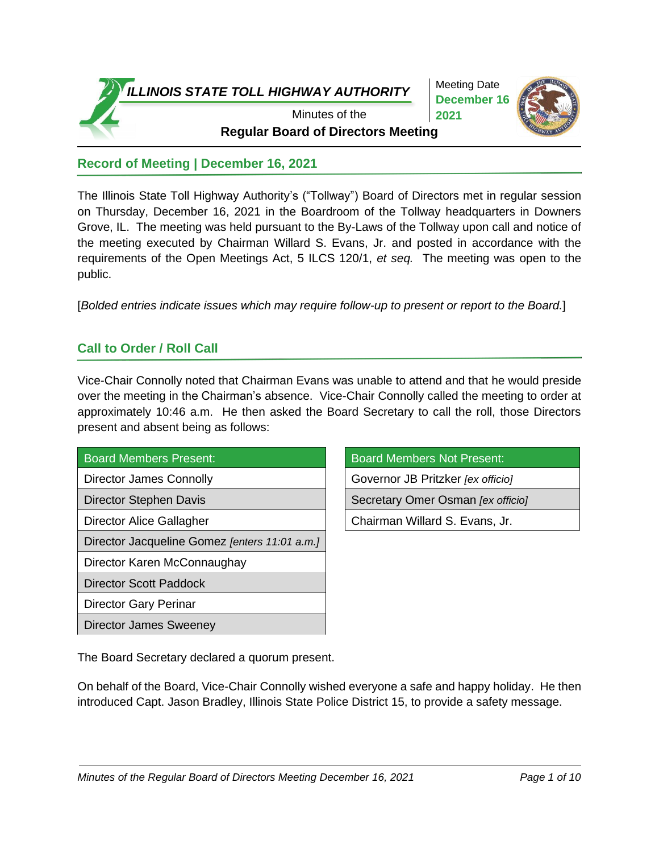

Meeting Date **December 16 2021**



**Regular Board of Directors Meeting** Minutes of the

# **Record of Meeting | December 16, 2021**

The Illinois State Toll Highway Authority's ("Tollway") Board of Directors met in regular session on Thursday, December 16, 2021 in the Boardroom of the Tollway headquarters in Downers Grove, IL. The meeting was held pursuant to the By-Laws of the Tollway upon call and notice of the meeting executed by Chairman Willard S. Evans, Jr. and posted in accordance with the requirements of the Open Meetings Act, 5 ILCS 120/1, *et seq.* The meeting was open to the public.

[*Bolded entries indicate issues which may require follow-up to present or report to the Board.*]

# **Call to Order / Roll Call**

Vice-Chair Connolly noted that Chairman Evans was unable to attend and that he would preside over the meeting in the Chairman's absence. Vice-Chair Connolly called the meeting to order at approximately 10:46 a.m. He then asked the Board Secretary to call the roll, those Directors present and absent being as follows:

| <b>Board Members Present:</b> |  |
|-------------------------------|--|
| Director James Connolly       |  |
| l Diractor Stanhan Davis      |  |

Director Jacqueline Gomez *[enters 11:01 a.m.]*

Director Karen McConnaughay

Director Scott Paddock

Director Gary Perinar

Director James Sweeney

Board Members Not Present:

Governor JB Pritzker *[ex officio]* 

Director Stephen Davis Secretary Omer Osman *[ex officio]*

Director Alice Gallagher **Chairman Willard S. Evans, Jr.** 

The Board Secretary declared a quorum present.

On behalf of the Board, Vice-Chair Connolly wished everyone a safe and happy holiday. He then introduced Capt. Jason Bradley, Illinois State Police District 15, to provide a safety message.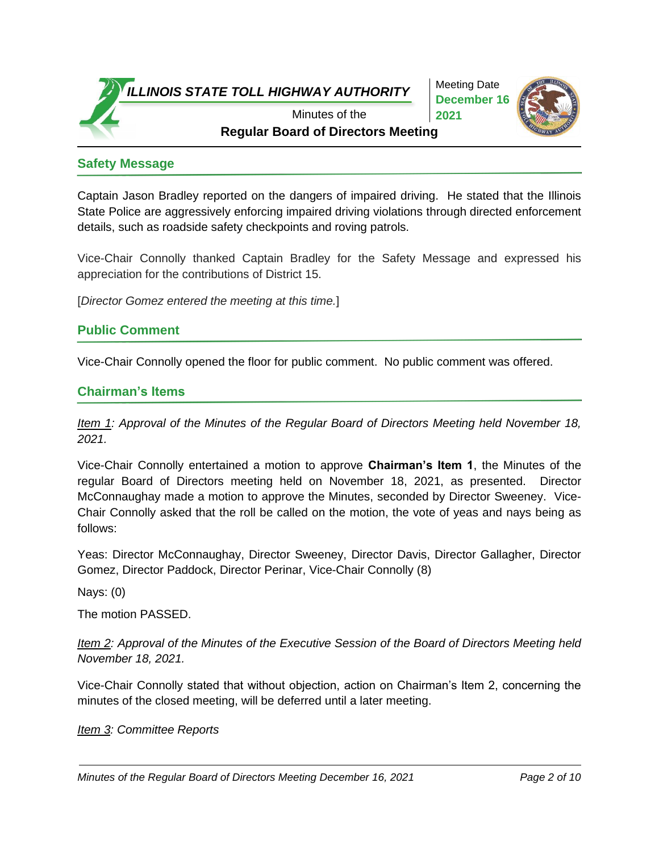

Meeting Date **December 16 2021**



**Regular Board of Directors Meeting** Minutes of the

## **Safety Message**

Captain Jason Bradley reported on the dangers of impaired driving. He stated that the Illinois State Police are aggressively enforcing impaired driving violations through directed enforcement details, such as roadside safety checkpoints and roving patrols.

Vice-Chair Connolly thanked Captain Bradley for the Safety Message and expressed his appreciation for the contributions of District 15.

[*Director Gomez entered the meeting at this time.*]

### **Public Comment**

Vice-Chair Connolly opened the floor for public comment. No public comment was offered.

### **Chairman's Items**

*Item 1: Approval of the Minutes of the Regular Board of Directors Meeting held November 18, 2021.*

Vice-Chair Connolly entertained a motion to approve **Chairman's Item 1**, the Minutes of the regular Board of Directors meeting held on November 18, 2021, as presented. Director McConnaughay made a motion to approve the Minutes, seconded by Director Sweeney. Vice-Chair Connolly asked that the roll be called on the motion, the vote of yeas and nays being as follows:

Yeas: Director McConnaughay, Director Sweeney, Director Davis, Director Gallagher, Director Gomez, Director Paddock, Director Perinar, Vice-Chair Connolly (8)

Nays: (0)

The motion PASSED.

*Item 2: Approval of the Minutes of the Executive Session of the Board of Directors Meeting held November 18, 2021.*

Vice-Chair Connolly stated that without objection, action on Chairman's Item 2, concerning the minutes of the closed meeting, will be deferred until a later meeting.

*Item 3: Committee Reports*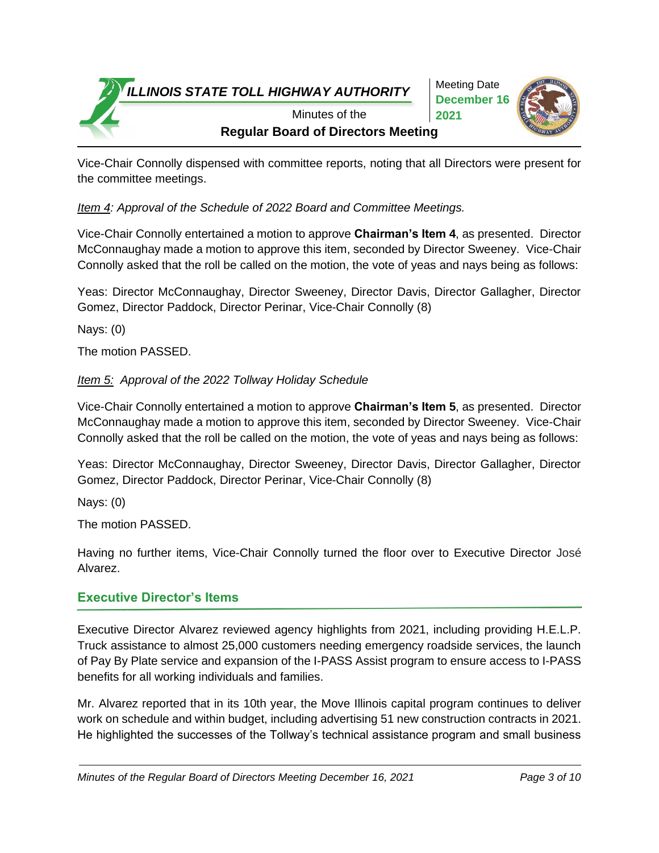Meeting Date **December 16 2021**



**Regular Board of Directors Meeting** Minutes of the

Vice-Chair Connolly dispensed with committee reports, noting that all Directors were present for the committee meetings.

*Item 4: Approval of the Schedule of 2022 Board and Committee Meetings.*

Vice-Chair Connolly entertained a motion to approve **Chairman's Item 4**, as presented. Director McConnaughay made a motion to approve this item, seconded by Director Sweeney. Vice-Chair Connolly asked that the roll be called on the motion, the vote of yeas and nays being as follows:

Yeas: Director McConnaughay, Director Sweeney, Director Davis, Director Gallagher, Director Gomez, Director Paddock, Director Perinar, Vice-Chair Connolly (8)

Nays: (0)

The motion PASSED.

### *Item 5: Approval of the 2022 Tollway Holiday Schedule*

Vice-Chair Connolly entertained a motion to approve **Chairman's Item 5**, as presented. Director McConnaughay made a motion to approve this item, seconded by Director Sweeney. Vice-Chair Connolly asked that the roll be called on the motion, the vote of yeas and nays being as follows:

Yeas: Director McConnaughay, Director Sweeney, Director Davis, Director Gallagher, Director Gomez, Director Paddock, Director Perinar, Vice-Chair Connolly (8)

Nays: (0)

The motion PASSED.

Having no further items, Vice-Chair Connolly turned the floor over to Executive Director José Alvarez.

## **Executive Director's Items**

Executive Director Alvarez reviewed agency highlights from 2021, including providing H.E.L.P. Truck assistance to almost 25,000 customers needing emergency roadside services, the launch of Pay By Plate service and expansion of the I-PASS Assist program to ensure access to I-PASS benefits for all working individuals and families.

Mr. Alvarez reported that in its 10th year, the Move Illinois capital program continues to deliver work on schedule and within budget, including advertising 51 new construction contracts in 2021. He highlighted the successes of the Tollway's technical assistance program and small business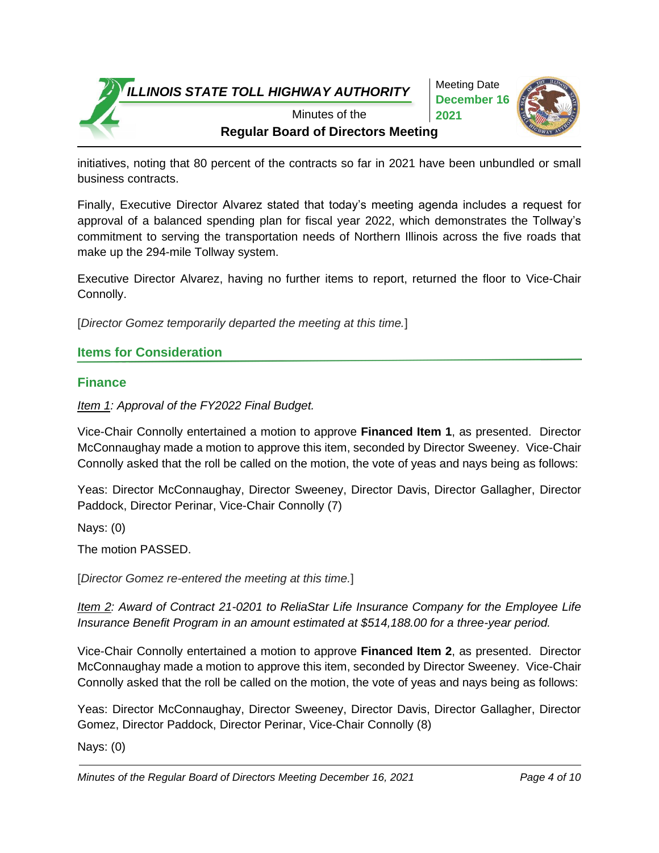Meeting Date **December 16 2021**



**Regular Board of Directors Meeting** Minutes of the

initiatives, noting that 80 percent of the contracts so far in 2021 have been unbundled or small business contracts.

Finally, Executive Director Alvarez stated that today's meeting agenda includes a request for approval of a balanced spending plan for fiscal year 2022, which demonstrates the Tollway's commitment to serving the transportation needs of Northern Illinois across the five roads that make up the 294-mile Tollway system.

Executive Director Alvarez, having no further items to report, returned the floor to Vice-Chair Connolly.

[*Director Gomez temporarily departed the meeting at this time.*]

## **Items for Consideration**

# **Finance**

*Item 1: Approval of the FY2022 Final Budget.*

Vice-Chair Connolly entertained a motion to approve **Financed Item 1**, as presented. Director McConnaughay made a motion to approve this item, seconded by Director Sweeney. Vice-Chair Connolly asked that the roll be called on the motion, the vote of yeas and nays being as follows:

Yeas: Director McConnaughay, Director Sweeney, Director Davis, Director Gallagher, Director Paddock, Director Perinar, Vice-Chair Connolly (7)

Nays: (0)

The motion PASSED.

[*Director Gomez re-entered the meeting at this time.*]

*Item 2: Award of Contract 21-0201 to ReliaStar Life Insurance Company for the Employee Life Insurance Benefit Program in an amount estimated at \$514,188.00 for a three-year period.* 

Vice-Chair Connolly entertained a motion to approve **Financed Item 2**, as presented. Director McConnaughay made a motion to approve this item, seconded by Director Sweeney. Vice-Chair Connolly asked that the roll be called on the motion, the vote of yeas and nays being as follows:

Yeas: Director McConnaughay, Director Sweeney, Director Davis, Director Gallagher, Director Gomez, Director Paddock, Director Perinar, Vice-Chair Connolly (8)

Nays: (0)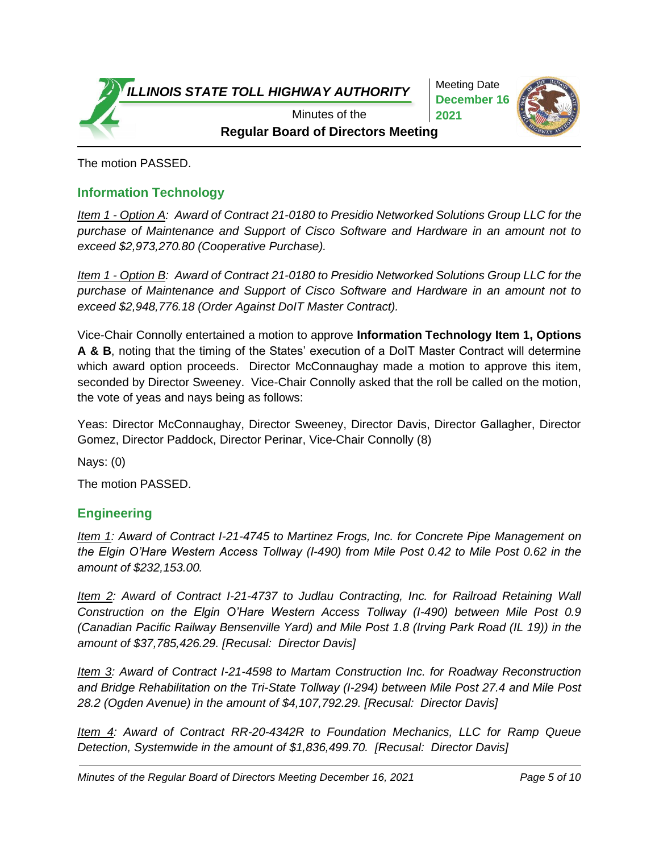Meeting Date **December 16 2021**



**Regular Board of Directors Meeting** Minutes of the

The motion PASSED.

## **Information Technology**

*Item 1 - Option A: Award of Contract 21-0180 to Presidio Networked Solutions Group LLC for the purchase of Maintenance and Support of Cisco Software and Hardware in an amount not to exceed \$2,973,270.80 (Cooperative Purchase).*

*Item 1 - Option B: Award of Contract 21-0180 to Presidio Networked Solutions Group LLC for the purchase of Maintenance and Support of Cisco Software and Hardware in an amount not to exceed \$2,948,776.18 (Order Against DoIT Master Contract).*

Vice-Chair Connolly entertained a motion to approve **Information Technology Item 1, Options A & B**, noting that the timing of the States' execution of a DoIT Master Contract will determine which award option proceeds. Director McConnaughay made a motion to approve this item, seconded by Director Sweeney. Vice-Chair Connolly asked that the roll be called on the motion, the vote of yeas and nays being as follows:

Yeas: Director McConnaughay, Director Sweeney, Director Davis, Director Gallagher, Director Gomez, Director Paddock, Director Perinar, Vice-Chair Connolly (8)

Nays: (0)

The motion PASSED.

### **Engineering**

*Item 1: Award of Contract I-21-4745 to Martinez Frogs, Inc. for Concrete Pipe Management on the Elgin O'Hare Western Access Tollway (I-490) from Mile Post 0.42 to Mile Post 0.62 in the amount of \$232,153.00.* 

*Item 2: Award of Contract I-21-4737 to Judlau Contracting, Inc. for Railroad Retaining Wall Construction on the Elgin O'Hare Western Access Tollway (I-490) between Mile Post 0.9 (Canadian Pacific Railway Bensenville Yard) and Mile Post 1.8 (Irving Park Road (IL 19)) in the amount of \$37,785,426.29. [Recusal: Director Davis]*

*Item 3: Award of Contract I-21-4598 to Martam Construction Inc. for Roadway Reconstruction and Bridge Rehabilitation on the Tri-State Tollway (I-294) between Mile Post 27.4 and Mile Post 28.2 (Ogden Avenue) in the amount of \$4,107,792.29. [Recusal: Director Davis]*

*Item 4: Award of Contract RR-20-4342R to Foundation Mechanics, LLC for Ramp Queue Detection, Systemwide in the amount of \$1,836,499.70. [Recusal: Director Davis]*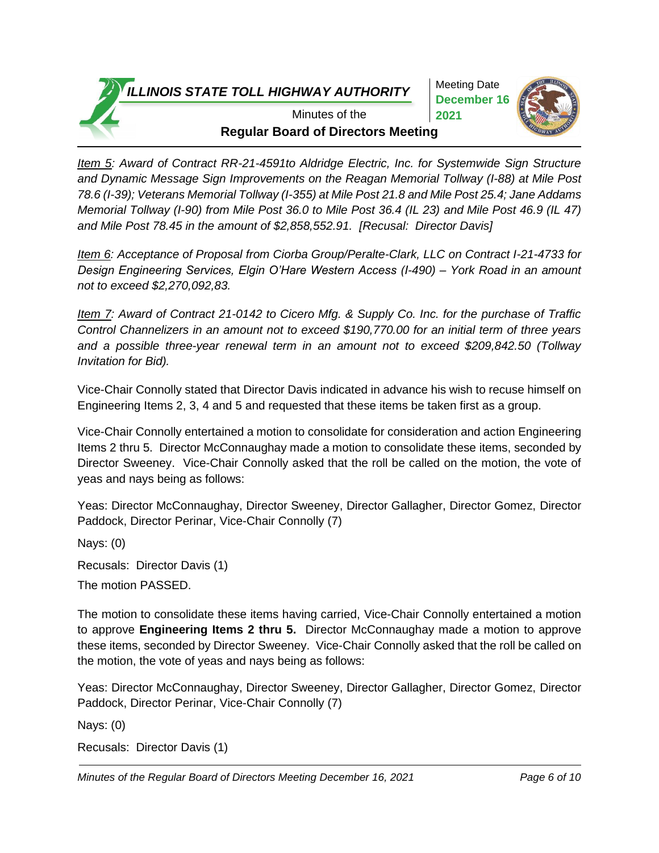Meeting Date **December 16 2021**



**Regular Board of Directors Meeting** Minutes of the

*Item 5: Award of Contract RR-21-4591to Aldridge Electric, Inc. for Systemwide Sign Structure and Dynamic Message Sign Improvements on the Reagan Memorial Tollway (I-88) at Mile Post 78.6 (I-39); Veterans Memorial Tollway (I-355) at Mile Post 21.8 and Mile Post 25.4; Jane Addams Memorial Tollway (I-90) from Mile Post 36.0 to Mile Post 36.4 (IL 23) and Mile Post 46.9 (IL 47) and Mile Post 78.45 in the amount of \$2,858,552.91. [Recusal: Director Davis]*

*Item 6: Acceptance of Proposal from Ciorba Group/Peralte-Clark, LLC on Contract I-21-4733 for Design Engineering Services, Elgin O'Hare Western Access (I-490) – York Road in an amount not to exceed \$2,270,092,83.*

*Item 7: Award of Contract 21-0142 to Cicero Mfg. & Supply Co. Inc. for the purchase of Traffic Control Channelizers in an amount not to exceed \$190,770.00 for an initial term of three years and a possible three-year renewal term in an amount not to exceed \$209,842.50 (Tollway Invitation for Bid).*

Vice-Chair Connolly stated that Director Davis indicated in advance his wish to recuse himself on Engineering Items 2, 3, 4 and 5 and requested that these items be taken first as a group.

Vice-Chair Connolly entertained a motion to consolidate for consideration and action Engineering Items 2 thru 5. Director McConnaughay made a motion to consolidate these items, seconded by Director Sweeney. Vice-Chair Connolly asked that the roll be called on the motion, the vote of yeas and nays being as follows:

Yeas: Director McConnaughay, Director Sweeney, Director Gallagher, Director Gomez, Director Paddock, Director Perinar, Vice-Chair Connolly (7)

Nays: (0)

Recusals: Director Davis (1)

The motion PASSED.

The motion to consolidate these items having carried, Vice-Chair Connolly entertained a motion to approve **Engineering Items 2 thru 5.** Director McConnaughay made a motion to approve these items, seconded by Director Sweeney. Vice-Chair Connolly asked that the roll be called on the motion, the vote of yeas and nays being as follows:

Yeas: Director McConnaughay, Director Sweeney, Director Gallagher, Director Gomez, Director Paddock, Director Perinar, Vice-Chair Connolly (7)

Nays: (0)

Recusals: Director Davis (1)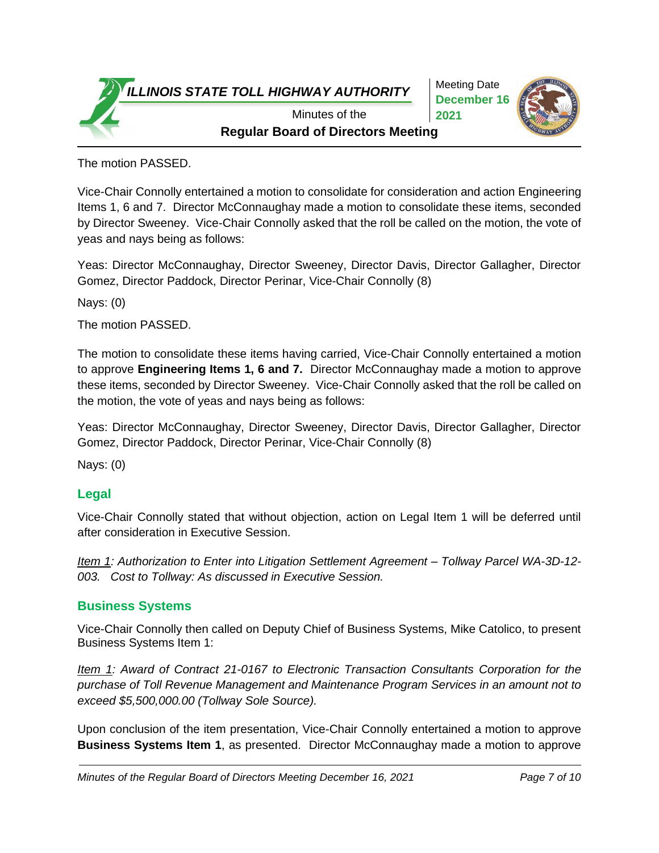Meeting Date **December 16 2021**



**Regular Board of Directors Meeting** Minutes of the

The motion PASSED.

Vice-Chair Connolly entertained a motion to consolidate for consideration and action Engineering Items 1, 6 and 7. Director McConnaughay made a motion to consolidate these items, seconded by Director Sweeney. Vice-Chair Connolly asked that the roll be called on the motion, the vote of yeas and nays being as follows:

Yeas: Director McConnaughay, Director Sweeney, Director Davis, Director Gallagher, Director Gomez, Director Paddock, Director Perinar, Vice-Chair Connolly (8)

Nays: (0)

The motion PASSED.

The motion to consolidate these items having carried, Vice-Chair Connolly entertained a motion to approve **Engineering Items 1, 6 and 7.** Director McConnaughay made a motion to approve these items, seconded by Director Sweeney. Vice-Chair Connolly asked that the roll be called on the motion, the vote of yeas and nays being as follows:

Yeas: Director McConnaughay, Director Sweeney, Director Davis, Director Gallagher, Director Gomez, Director Paddock, Director Perinar, Vice-Chair Connolly (8)

Nays: (0)

### **Legal**

Vice-Chair Connolly stated that without objection, action on Legal Item 1 will be deferred until after consideration in Executive Session.

*Item 1: Authorization to Enter into Litigation Settlement Agreement – Tollway Parcel WA-3D-12- 003. Cost to Tollway: As discussed in Executive Session.*

### **Business Systems**

Vice-Chair Connolly then called on Deputy Chief of Business Systems, Mike Catolico, to present Business Systems Item 1:

*Item 1: Award of Contract 21-0167 to Electronic Transaction Consultants Corporation for the purchase of Toll Revenue Management and Maintenance Program Services in an amount not to exceed \$5,500,000.00 (Tollway Sole Source).*

Upon conclusion of the item presentation, Vice-Chair Connolly entertained a motion to approve **Business Systems Item 1**, as presented. Director McConnaughay made a motion to approve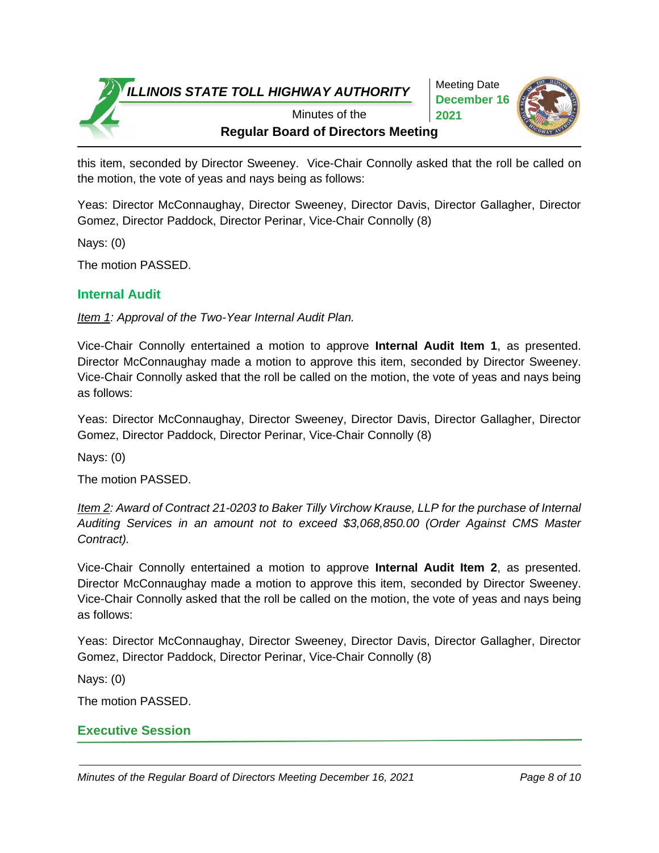Meeting Date **December 16 2021**



**Regular Board of Directors Meeting** Minutes of the

this item, seconded by Director Sweeney. Vice-Chair Connolly asked that the roll be called on the motion, the vote of yeas and nays being as follows:

Yeas: Director McConnaughay, Director Sweeney, Director Davis, Director Gallagher, Director Gomez, Director Paddock, Director Perinar, Vice-Chair Connolly (8)

Nays: (0)

The motion PASSED.

## **Internal Audit**

*Item 1: Approval of the Two-Year Internal Audit Plan.*

Vice-Chair Connolly entertained a motion to approve **Internal Audit Item 1**, as presented. Director McConnaughay made a motion to approve this item, seconded by Director Sweeney. Vice-Chair Connolly asked that the roll be called on the motion, the vote of yeas and nays being as follows:

Yeas: Director McConnaughay, Director Sweeney, Director Davis, Director Gallagher, Director Gomez, Director Paddock, Director Perinar, Vice-Chair Connolly (8)

Nays: (0)

The motion PASSED.

*Item 2: Award of Contract 21-0203 to Baker Tilly Virchow Krause, LLP for the purchase of Internal Auditing Services in an amount not to exceed \$3,068,850.00 (Order Against CMS Master Contract).*

Vice-Chair Connolly entertained a motion to approve **Internal Audit Item 2**, as presented. Director McConnaughay made a motion to approve this item, seconded by Director Sweeney. Vice-Chair Connolly asked that the roll be called on the motion, the vote of yeas and nays being as follows:

Yeas: Director McConnaughay, Director Sweeney, Director Davis, Director Gallagher, Director Gomez, Director Paddock, Director Perinar, Vice-Chair Connolly (8)

Nays: (0)

The motion PASSED.

## **Executive Session**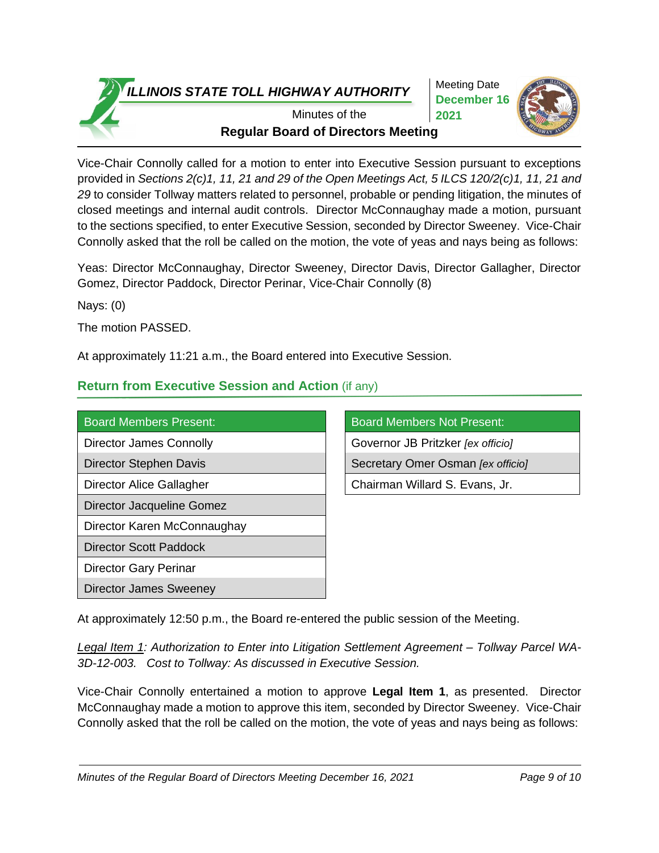Meeting Date **December 16 2021**



**Regular Board of Directors Meeting** Minutes of the

Vice-Chair Connolly called for a motion to enter into Executive Session pursuant to exceptions provided in *Sections 2(c)1, 11, 21 and 29 of the Open Meetings Act, 5 ILCS 120/2(c)1, 11, 21 and 29* to consider Tollway matters related to personnel, probable or pending litigation, the minutes of closed meetings and internal audit controls. Director McConnaughay made a motion, pursuant to the sections specified, to enter Executive Session, seconded by Director Sweeney. Vice-Chair Connolly asked that the roll be called on the motion, the vote of yeas and nays being as follows:

Yeas: Director McConnaughay, Director Sweeney, Director Davis, Director Gallagher, Director Gomez, Director Paddock, Director Perinar, Vice-Chair Connolly (8)

Nays: (0)

The motion PASSED.

At approximately 11:21 a.m., the Board entered into Executive Session.

# **Return from Executive Session and Action** (if any)

| <b>Board Members Present:</b>  | <b>Board Members Not Present:</b> |
|--------------------------------|-----------------------------------|
| <b>Director James Connolly</b> | Governor JB Pritzker [ex officio] |
| Director Stephen Davis         | Secretary Omer Osman [ex officio] |
| Director Alice Gallagher       | Chairman Willard S. Evans, Jr.    |
| Director Jacqueline Gomez      |                                   |
| Director Karen McConnaughay    |                                   |
| Director Scott Paddock         |                                   |
| Director Gary Perinar          |                                   |
| Director James Sweeney         |                                   |
|                                |                                   |

| <b>Board Members Not Present:</b> |
|-----------------------------------|
| Governor JB Pritzker [ex officio] |
| Secretary Omer Osman [ex officio] |
| Chairman Willard S. Evans, Jr.    |

At approximately 12:50 p.m., the Board re-entered the public session of the Meeting.

*Legal Item 1: Authorization to Enter into Litigation Settlement Agreement – Tollway Parcel WA-3D-12-003. Cost to Tollway: As discussed in Executive Session.*

Vice-Chair Connolly entertained a motion to approve **Legal Item 1**, as presented. Director McConnaughay made a motion to approve this item, seconded by Director Sweeney. Vice-Chair Connolly asked that the roll be called on the motion, the vote of yeas and nays being as follows: